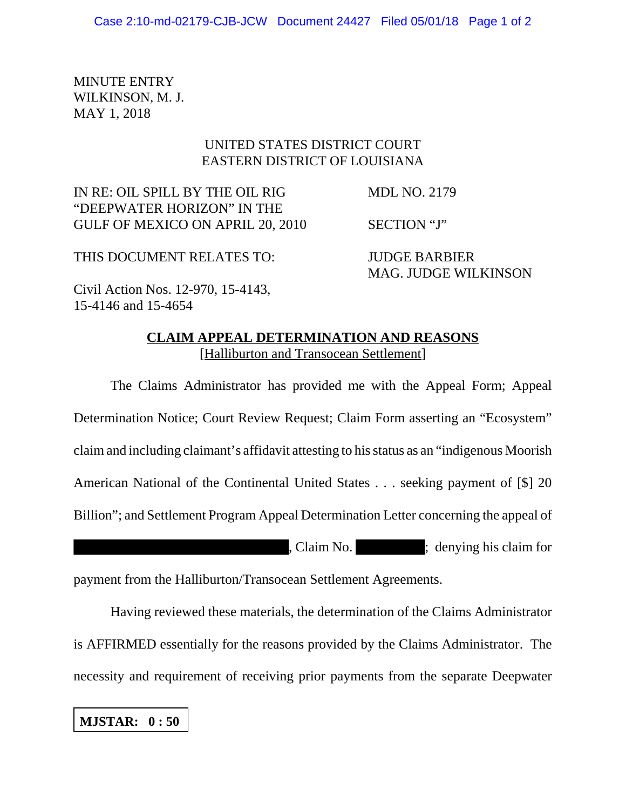MINUTE ENTRY WILKINSON, M. J. MAY 1, 2018

## UNITED STATES DISTRICT COURT EASTERN DISTRICT OF LOUISIANA

IN RE: OIL SPILL BY THE OIL RIG MDL NO. 2179 "DEEPWATER HORIZON" IN THE GULF OF MEXICO ON APRIL 20, 2010 SECTION "J"

THIS DOCUMENT RELATES TO: JUDGE BARBIER

MAG. JUDGE WILKINSON

Civil Action Nos. 12-970, 15-4143, 15-4146 and 15-4654

## **CLAIM APPEAL DETERMINATION AND REASONS** [Halliburton and Transocean Settlement]

The Claims Administrator has provided me with the Appeal Form; Appeal Determination Notice; Court Review Request; Claim Form asserting an "Ecosystem" claim and including claimant's affidavit attesting to his status as an "indigenous Moorish American National of the Continental United States . . . seeking payment of [\$] 20 Billion"; and Settlement Program Appeal Determination Letter concerning the appeal of , Claim No. ; denying his claim for

payment from the Halliburton/Transocean Settlement Agreements.

Having reviewed these materials, the determination of the Claims Administrator is AFFIRMED essentially for the reasons provided by the Claims Administrator. The necessity and requirement of receiving prior payments from the separate Deepwater

**MJSTAR: 0 : 50**